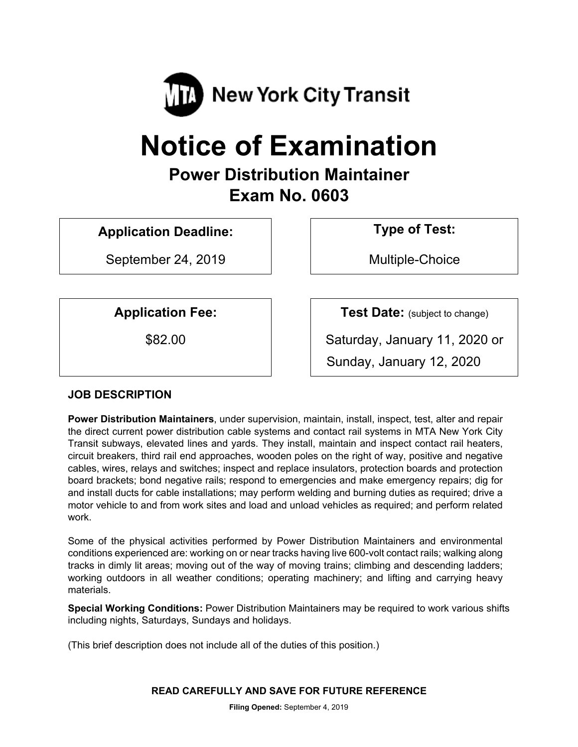

# **Notice of Examination**

# **Power Distribution Maintainer Exam No. 0603**

**Application Deadline: Type of Test:** 

September 24, 2019 and the Multiple-Choice

**Application Fee:**  $\vert$  **Test Date:** (subject to change)

\$82.00 Saturday, January 11, 2020 or Sunday, January 12, 2020

# **JOB DESCRIPTION**

**Power Distribution Maintainers**, under supervision, maintain, install, inspect, test, alter and repair the direct current power distribution cable systems and contact rail systems in MTA New York City Transit subways, elevated lines and yards. They install, maintain and inspect contact rail heaters, circuit breakers, third rail end approaches, wooden poles on the right of way, positive and negative cables, wires, relays and switches; inspect and replace insulators, protection boards and protection board brackets; bond negative rails; respond to emergencies and make emergency repairs; dig for and install ducts for cable installations; may perform welding and burning duties as required; drive a motor vehicle to and from work sites and load and unload vehicles as required; and perform related work.

Some of the physical activities performed by Power Distribution Maintainers and environmental conditions experienced are: working on or near tracks having live 600-volt contact rails; walking along tracks in dimly lit areas; moving out of the way of moving trains; climbing and descending ladders; working outdoors in all weather conditions; operating machinery; and lifting and carrying heavy materials.

**Special Working Conditions:** Power Distribution Maintainers may be required to work various shifts including nights, Saturdays, Sundays and holidays.

(This brief description does not include all of the duties of this position.)

**READ CAREFULLY AND SAVE FOR FUTURE REFERENCE**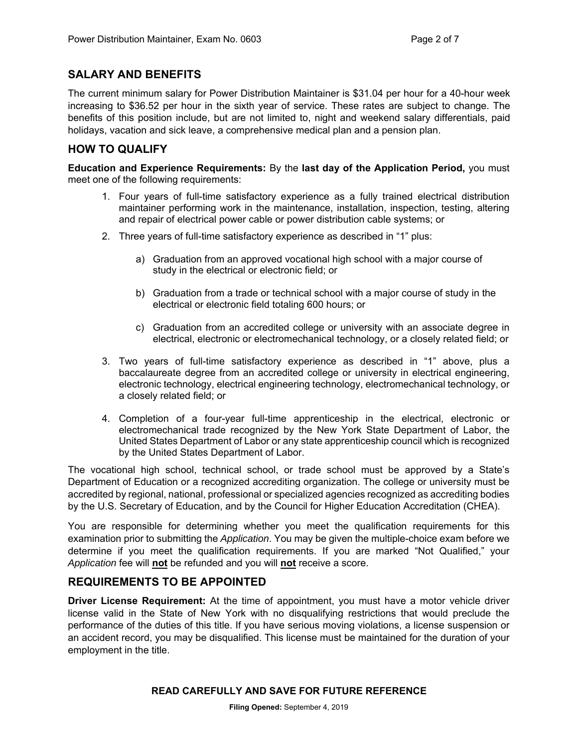#### **SALARY AND BENEFITS**

The current minimum salary for Power Distribution Maintainer is \$31.04 per hour for a 40-hour week increasing to \$36.52 per hour in the sixth year of service. These rates are subject to change. The benefits of this position include, but are not limited to, night and weekend salary differentials, paid holidays, vacation and sick leave, a comprehensive medical plan and a pension plan.

#### **HOW TO QUALIFY**

**Education and Experience Requirements:** By the **last day of the Application Period,** you must meet one of the following requirements:

- 1. Four years of full-time satisfactory experience as a fully trained electrical distribution maintainer performing work in the maintenance, installation, inspection, testing, altering and repair of electrical power cable or power distribution cable systems; or
- 2. Three years of full-time satisfactory experience as described in "1" plus:
	- a) Graduation from an approved vocational high school with a major course of study in the electrical or electronic field; or
	- b) Graduation from a trade or technical school with a major course of study in the electrical or electronic field totaling 600 hours; or
	- c) Graduation from an accredited college or university with an associate degree in electrical, electronic or electromechanical technology, or a closely related field; or
- 3. Two years of full-time satisfactory experience as described in "1" above, plus a baccalaureate degree from an accredited college or university in electrical engineering, electronic technology, electrical engineering technology, electromechanical technology, or a closely related field; or
- 4. Completion of a four-year full-time apprenticeship in the electrical, electronic or electromechanical trade recognized by the New York State Department of Labor, the United States Department of Labor or any state apprenticeship council which is recognized by the United States Department of Labor.

The vocational high school, technical school, or trade school must be approved by a State's Department of Education or a recognized accrediting organization. The college or university must be accredited by regional, national, professional or specialized agencies recognized as accrediting bodies by the U.S. Secretary of Education, and by the Council for Higher Education Accreditation (CHEA).

You are responsible for determining whether you meet the qualification requirements for this examination prior to submitting the *Application*. You may be given the multiple-choice exam before we determine if you meet the qualification requirements. If you are marked "Not Qualified," your *Application* fee will **not** be refunded and you will **not** receive a score.

#### **REQUIREMENTS TO BE APPOINTED**

**Driver License Requirement:** At the time of appointment, you must have a motor vehicle driver license valid in the State of New York with no disqualifying restrictions that would preclude the performance of the duties of this title. If you have serious moving violations, a license suspension or an accident record, you may be disqualified. This license must be maintained for the duration of your employment in the title.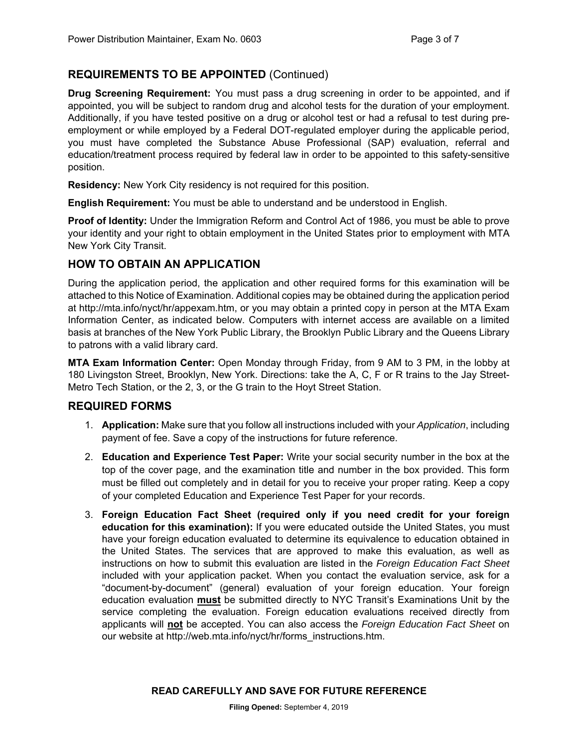# **REQUIREMENTS TO BE APPOINTED** (Continued)

**Drug Screening Requirement:** You must pass a drug screening in order to be appointed, and if appointed, you will be subject to random drug and alcohol tests for the duration of your employment. Additionally, if you have tested positive on a drug or alcohol test or had a refusal to test during preemployment or while employed by a Federal DOT-regulated employer during the applicable period, you must have completed the Substance Abuse Professional (SAP) evaluation, referral and education/treatment process required by federal law in order to be appointed to this safety-sensitive position.

**Residency:** New York City residency is not required for this position.

**English Requirement:** You must be able to understand and be understood in English.

**Proof of Identity:** Under the Immigration Reform and Control Act of 1986, you must be able to prove your identity and your right to obtain employment in the United States prior to employment with MTA New York City Transit.

# **HOW TO OBTAIN AN APPLICATION**

During the application period, the application and other required forms for this examination will be attached to this Notice of Examination. Additional copies may be obtained during the application period at http://mta.info/nyct/hr/appexam.htm, or you may obtain a printed copy in person at the MTA Exam Information Center, as indicated below. Computers with internet access are available on a limited basis at branches of the New York Public Library, the Brooklyn Public Library and the Queens Library to patrons with a valid library card.

**MTA Exam Information Center:** Open Monday through Friday, from 9 AM to 3 PM, in the lobby at 180 Livingston Street, Brooklyn, New York. Directions: take the A, C, F or R trains to the Jay Street-Metro Tech Station, or the 2, 3, or the G train to the Hoyt Street Station.

# **REQUIRED FORMS**

- 1. **Application:** Make sure that you follow all instructions included with your *Application*, including payment of fee. Save a copy of the instructions for future reference.
- 2. **Education and Experience Test Paper:** Write your social security number in the box at the top of the cover page, and the examination title and number in the box provided. This form must be filled out completely and in detail for you to receive your proper rating. Keep a copy of your completed Education and Experience Test Paper for your records.
- 3. **Foreign Education Fact Sheet (required only if you need credit for your foreign education for this examination):** If you were educated outside the United States, you must have your foreign education evaluated to determine its equivalence to education obtained in the United States. The services that are approved to make this evaluation, as well as instructions on how to submit this evaluation are listed in the *Foreign Education Fact Sheet* included with your application packet. When you contact the evaluation service, ask for a "document-by-document" (general) evaluation of your foreign education. Your foreign education evaluation **must** be submitted directly to NYC Transit's Examinations Unit by the service completing the evaluation. Foreign education evaluations received directly from applicants will **not** be accepted. You can also access the *Foreign Education Fact Sheet* on our website at http://web.mta.info/nyct/hr/forms\_instructions.htm.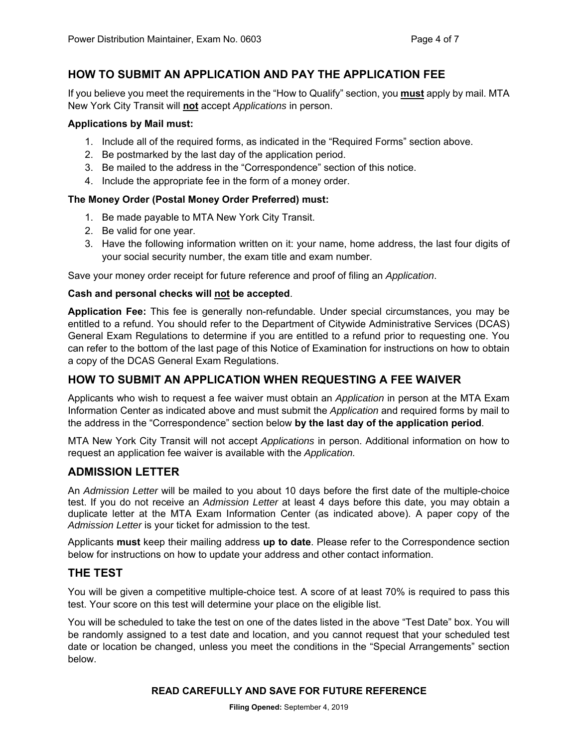# **HOW TO SUBMIT AN APPLICATION AND PAY THE APPLICATION FEE**

If you believe you meet the requirements in the "How to Qualify" section, you **must** apply by mail. MTA New York City Transit will **not** accept *Applications* in person.

#### **Applications by Mail must:**

- 1. Include all of the required forms, as indicated in the "Required Forms" section above.
- 2. Be postmarked by the last day of the application period.
- 3. Be mailed to the address in the "Correspondence" section of this notice.
- 4. Include the appropriate fee in the form of a money order.

#### **The Money Order (Postal Money Order Preferred) must:**

- 1. Be made payable to MTA New York City Transit.
- 2. Be valid for one year.
- 3. Have the following information written on it: your name, home address, the last four digits of your social security number, the exam title and exam number.

Save your money order receipt for future reference and proof of filing an *Application*.

#### **Cash and personal checks will not be accepted**.

**Application Fee:** This fee is generally non-refundable. Under special circumstances, you may be entitled to a refund. You should refer to the Department of Citywide Administrative Services (DCAS) General Exam Regulations to determine if you are entitled to a refund prior to requesting one. You can refer to the bottom of the last page of this Notice of Examination for instructions on how to obtain a copy of the DCAS General Exam Regulations.

# **HOW TO SUBMIT AN APPLICATION WHEN REQUESTING A FEE WAIVER**

Applicants who wish to request a fee waiver must obtain an *Application* in person at the MTA Exam Information Center as indicated above and must submit the *Application* and required forms by mail to the address in the "Correspondence" section below **by the last day of the application period**.

MTA New York City Transit will not accept *Applications* in person. Additional information on how to request an application fee waiver is available with the *Application.*

# **ADMISSION LETTER**

An *Admission Letter* will be mailed to you about 10 days before the first date of the multiple-choice test. If you do not receive an *Admission Letter* at least 4 days before this date, you may obtain a duplicate letter at the MTA Exam Information Center (as indicated above). A paper copy of the *Admission Letter* is your ticket for admission to the test.

Applicants **must** keep their mailing address **up to date**. Please refer to the Correspondence section below for instructions on how to update your address and other contact information.

# **THE TEST**

You will be given a competitive multiple-choice test. A score of at least 70% is required to pass this test. Your score on this test will determine your place on the eligible list.

You will be scheduled to take the test on one of the dates listed in the above "Test Date" box. You will be randomly assigned to a test date and location, and you cannot request that your scheduled test date or location be changed, unless you meet the conditions in the "Special Arrangements" section below.

#### **READ CAREFULLY AND SAVE FOR FUTURE REFERENCE**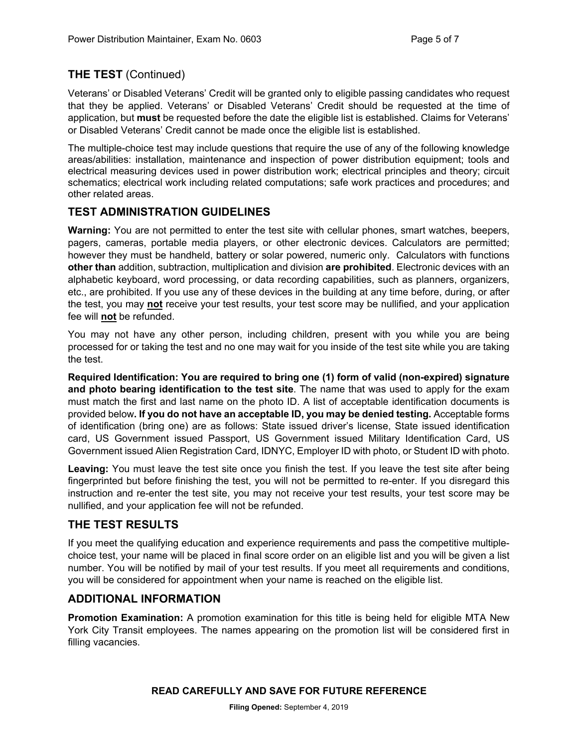# **THE TEST** (Continued)

Veterans' or Disabled Veterans' Credit will be granted only to eligible passing candidates who request that they be applied. Veterans' or Disabled Veterans' Credit should be requested at the time of application, but **must** be requested before the date the eligible list is established. Claims for Veterans' or Disabled Veterans' Credit cannot be made once the eligible list is established.

The multiple-choice test may include questions that require the use of any of the following knowledge areas/abilities: installation, maintenance and inspection of power distribution equipment; tools and electrical measuring devices used in power distribution work; electrical principles and theory; circuit schematics; electrical work including related computations; safe work practices and procedures; and other related areas.

# **TEST ADMINISTRATION GUIDELINES**

**Warning:** You are not permitted to enter the test site with cellular phones, smart watches, beepers, pagers, cameras, portable media players, or other electronic devices. Calculators are permitted; however they must be handheld, battery or solar powered, numeric only. Calculators with functions **other than** addition, subtraction, multiplication and division **are prohibited**. Electronic devices with an alphabetic keyboard, word processing, or data recording capabilities, such as planners, organizers, etc., are prohibited. If you use any of these devices in the building at any time before, during, or after the test, you may **not** receive your test results, your test score may be nullified, and your application fee will **not** be refunded.

You may not have any other person, including children, present with you while you are being processed for or taking the test and no one may wait for you inside of the test site while you are taking the test.

**Required Identification: You are required to bring one (1) form of valid (non-expired) signature and photo bearing identification to the test site**. The name that was used to apply for the exam must match the first and last name on the photo ID. A list of acceptable identification documents is provided below**. If you do not have an acceptable ID, you may be denied testing.** Acceptable forms of identification (bring one) are as follows: State issued driver's license, State issued identification card, US Government issued Passport, US Government issued Military Identification Card, US Government issued Alien Registration Card, IDNYC, Employer ID with photo, or Student ID with photo.

**Leaving:** You must leave the test site once you finish the test. If you leave the test site after being fingerprinted but before finishing the test, you will not be permitted to re-enter. If you disregard this instruction and re-enter the test site, you may not receive your test results, your test score may be nullified, and your application fee will not be refunded.

# **THE TEST RESULTS**

If you meet the qualifying education and experience requirements and pass the competitive multiplechoice test, your name will be placed in final score order on an eligible list and you will be given a list number. You will be notified by mail of your test results. If you meet all requirements and conditions, you will be considered for appointment when your name is reached on the eligible list.

# **ADDITIONAL INFORMATION**

**Promotion Examination:** A promotion examination for this title is being held for eligible MTA New York City Transit employees. The names appearing on the promotion list will be considered first in filling vacancies.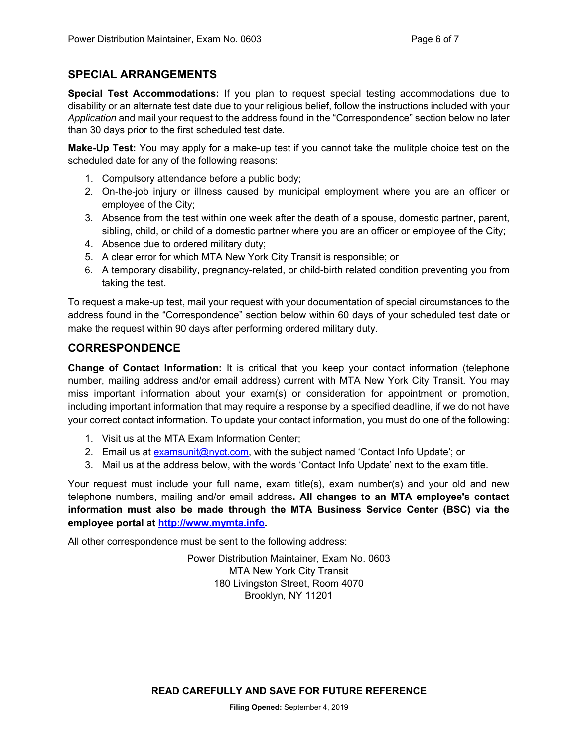# **SPECIAL ARRANGEMENTS**

**Special Test Accommodations:** If you plan to request special testing accommodations due to disability or an alternate test date due to your religious belief, follow the instructions included with your *Application* and mail your request to the address found in the "Correspondence" section below no later than 30 days prior to the first scheduled test date.

**Make-Up Test:** You may apply for a make-up test if you cannot take the mulitple choice test on the scheduled date for any of the following reasons:

- 1. Compulsory attendance before a public body;
- 2. On-the-job injury or illness caused by municipal employment where you are an officer or employee of the City;
- 3. Absence from the test within one week after the death of a spouse, domestic partner, parent, sibling, child, or child of a domestic partner where you are an officer or employee of the City;
- 4. Absence due to ordered military duty;
- 5. A clear error for which MTA New York City Transit is responsible; or
- 6. A temporary disability, pregnancy-related, or child-birth related condition preventing you from taking the test.

To request a make-up test, mail your request with your documentation of special circumstances to the address found in the "Correspondence" section below within 60 days of your scheduled test date or make the request within 90 days after performing ordered military duty.

#### **CORRESPONDENCE**

**Change of Contact Information:** It is critical that you keep your contact information (telephone number, mailing address and/or email address) current with MTA New York City Transit. You may miss important information about your exam(s) or consideration for appointment or promotion, including important information that may require a response by a specified deadline, if we do not have your correct contact information. To update your contact information, you must do one of the following:

- 1. Visit us at the MTA Exam Information Center;
- 2. Email us at examsunit@nyct.com, with the subject named 'Contact Info Update'; or
- 3. Mail us at the address below, with the words 'Contact Info Update' next to the exam title.

Your request must include your full name, exam title(s), exam number(s) and your old and new telephone numbers, mailing and/or email address**. All changes to an MTA employee's contact information must also be made through the MTA Business Service Center (BSC) via the employee portal at http://www.mymta.info.** 

All other correspondence must be sent to the following address:

Power Distribution Maintainer, Exam No. 0603 MTA New York City Transit 180 Livingston Street, Room 4070 Brooklyn, NY 11201

**READ CAREFULLY AND SAVE FOR FUTURE REFERENCE**